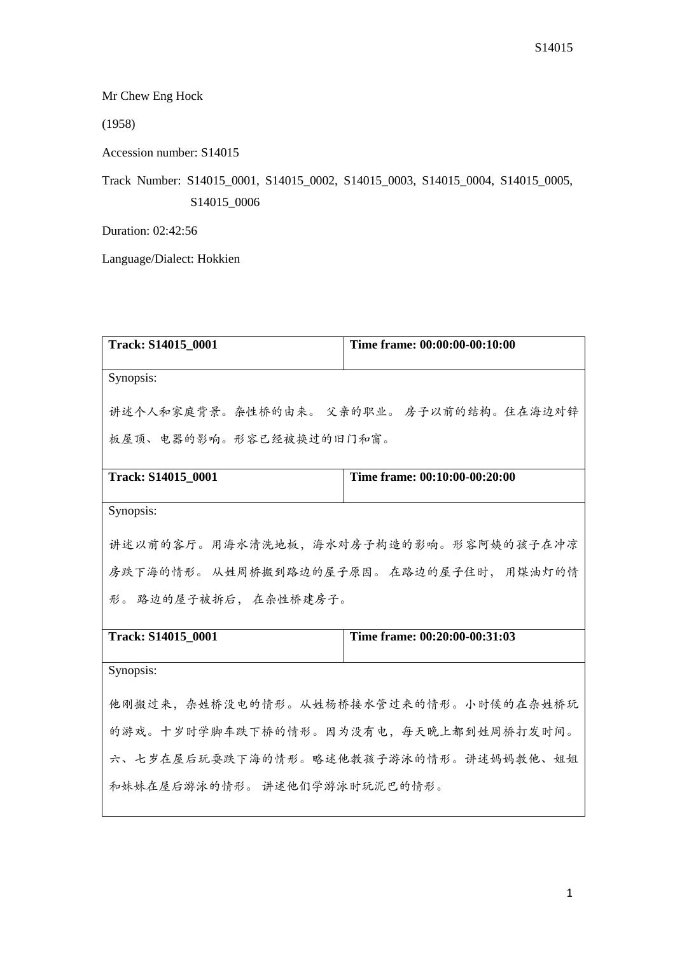Mr Chew Eng Hock

(1958)

Accession number: S14015

Track Number: S14015\_0001, S14015\_0002, S14015\_0003, S14015\_0004, S14015\_0005, S14015\_0006

Duration: 02:42:56

Language/Dialect: Hokkien

| Track: S14015 0001                    | Time frame: 00:00:00-00:10:00            |  |
|---------------------------------------|------------------------------------------|--|
| Synopsis:                             |                                          |  |
|                                       | 讲述个人和家庭背景。杂性桥的由来。 父亲的职业。 房子以前的结构。住在海边对锌  |  |
| 板屋顶、电器的影响。形容已经被换过的旧门和窗。               |                                          |  |
| Track: S14015_0001                    | Time frame: 00:10:00-00:20:00            |  |
| Synopsis:                             |                                          |  |
| 讲述以前的客厅。用海水清洗地板,海水对房子构造的影响。形容阿姨的孩子在冲凉 |                                          |  |
|                                       | 房跌下海的情形。 从姓周桥搬到路边的屋子原因。 在路边的屋子住时, 用煤油灯的情 |  |
| 形。路边的屋子被拆后, 在杂性桥建房子。                  |                                          |  |
| Track: S14015_0001                    | Time frame: 00:20:00-00:31:03            |  |
| Synopsis:                             |                                          |  |
|                                       | 他刚搬过来,杂姓桥没电的情形。从姓杨桥接水管过来的情形。小时候的在杂姓桥玩    |  |
| 的游戏。十岁时学脚车跌下桥的情形。因为没有电,每天晚上都到姓周桥打发时间。 |                                          |  |
|                                       | 六、七岁在屋后玩耍跌下海的情形。略述他教孩子游泳的情形。讲述妈妈教他、姐姐    |  |
| 和妹妹在屋后游泳的情形。 讲述他们学游泳时玩泥巴的情形。          |                                          |  |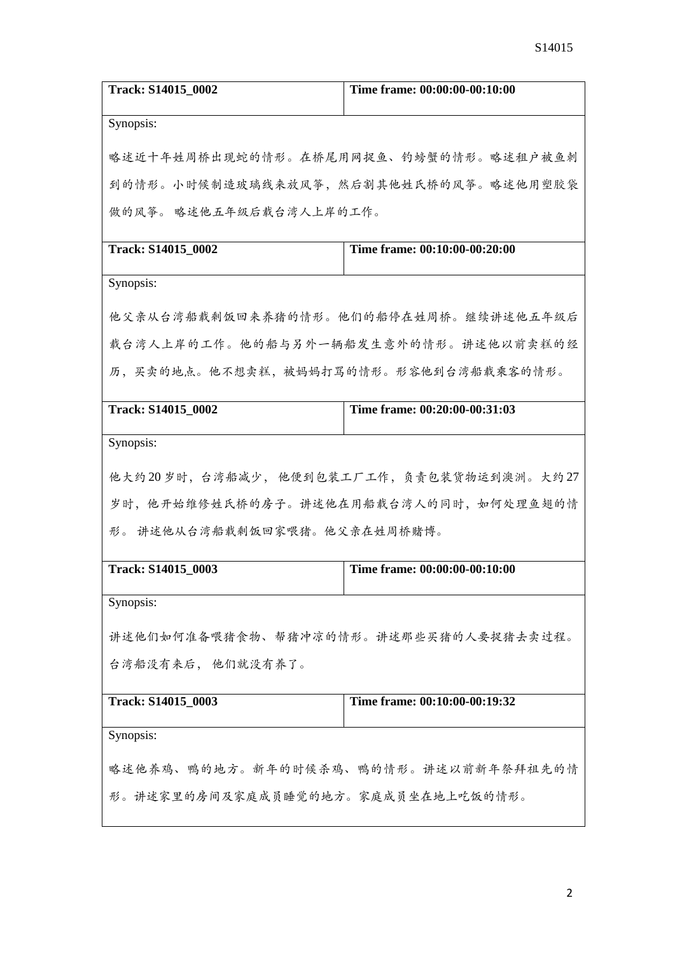| Track: S14015_0002                    | Time frame: 00:00:00-00:10:00           |  |
|---------------------------------------|-----------------------------------------|--|
| Synopsis:                             |                                         |  |
| 略述近十年姓周桥出现蛇的情形。在桥尾用网捉鱼、钓螃蟹的情形。略述租户被鱼刺 |                                         |  |
|                                       | 到的情形。小时候制造玻璃线来放风筝,然后割其他姓氏桥的风筝。略述他用塑胶袋   |  |
| 做的风筝。 略述他五年级后载台湾人上岸的工作。               |                                         |  |
| Track: S14015 0002                    | Time frame: 00:10:00-00:20:00           |  |
| Synopsis:                             |                                         |  |
| 他父亲从台湾船载剩饭回来养猪的情形。他们的船停在姓周桥。继续讲述他五年级后 |                                         |  |
| 载台湾人上岸的工作。他的船与另外一辆船发生意外的情形。讲述他以前卖糕的经  |                                         |  |
| 历,买卖的地点。他不想卖糕,被妈妈打骂的情形。形容他到台湾船载乘客的情形。 |                                         |  |
| Track: S14015_0002                    | Time frame: 00:20:00-00:31:03           |  |
| Synopsis:                             |                                         |  |
|                                       | 他大约20岁时,台湾船减少,他便到包装工厂工作,负责包装货物运到澳洲。大约27 |  |
|                                       | 岁时,他开始维修姓氏桥的房子。讲述他在用船载台湾人的同时,如何处理鱼翅的情   |  |
| 形。 讲述他从台湾船载剩饭回家喂猪。他父亲在姓周桥赌博。          |                                         |  |
| Track: S14015_0003                    | Time frame: 00:00:00-00:10:00           |  |
| Synopsis:                             |                                         |  |
| 讲述他们如何准备喂猪食物、帮猪冲凉的情形。讲述那些买猪的人要捉猪去卖过程。 |                                         |  |
| 台湾船没有来后, 他们就没有养了。                     |                                         |  |
| Track: S14015_0003                    | Time frame: 00:10:00-00:19:32           |  |
| Synopsis:                             |                                         |  |
| 略述他养鸡、鸭的地方。新年的时候杀鸡、鸭的情形。讲述以前新年祭拜祖先的情  |                                         |  |
| 形。讲述家里的房间及家庭成员睡觉的地方。家庭成员坐在地上吃饭的情形。    |                                         |  |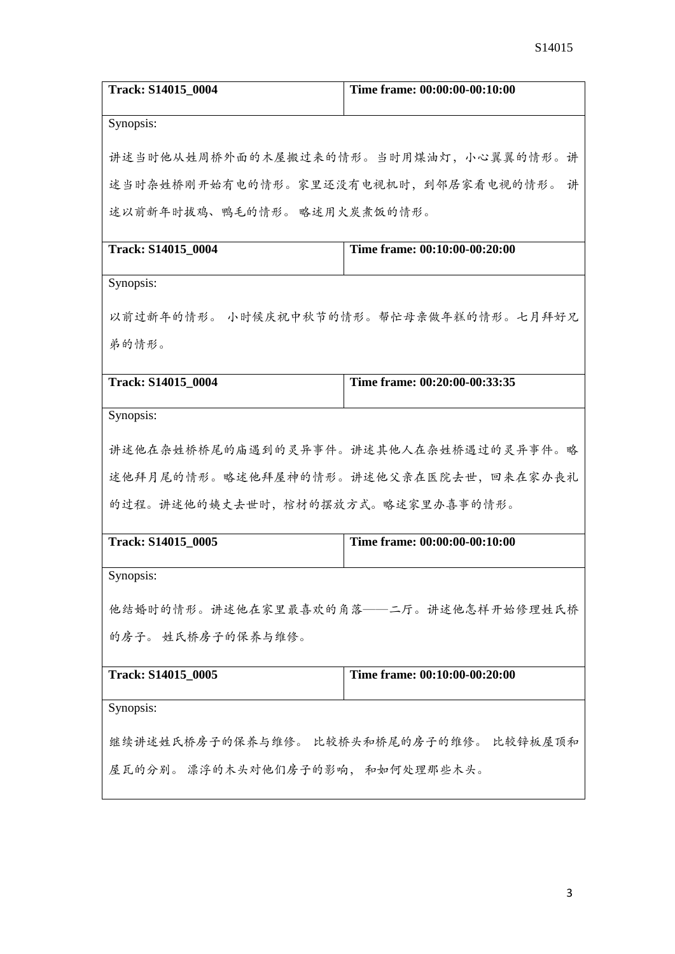| Track: S14015_0004                      | Time frame: 00:00:00-00:10:00          |  |  |
|-----------------------------------------|----------------------------------------|--|--|
| Synopsis:                               |                                        |  |  |
|                                         | 讲述当时他从姓周桥外面的木屋搬过来的情形。当时用煤油灯,小心翼翼的情形。讲  |  |  |
| 述当时杂姓桥刚开始有电的情形。家里还没有电视机时,到邻居家看电视的情形。    | 讲                                      |  |  |
| 述以前新年时拔鸡、鸭毛的情形。略述用火炭煮饭的情形。              |                                        |  |  |
| Track: S14015 0004                      | Time frame: 00:10:00-00:20:00          |  |  |
| Synopsis:                               |                                        |  |  |
|                                         | 以前过新年的情形。 小时候庆祝中秋节的情形。帮忙母亲做年糕的情形。七月拜好兄 |  |  |
| 弟的情形。                                   |                                        |  |  |
| Track: S14015_0004                      | Time frame: 00:20:00-00:33:35          |  |  |
| Synopsis:                               |                                        |  |  |
|                                         | 讲述他在杂姓桥桥尾的庙遇到的灵异事件。讲述其他人在杂姓桥遇过的灵异事件。略  |  |  |
|                                         | 述他拜月尾的情形。略述他拜屋神的情形。讲述他父亲在医院去世,回来在家办丧礼  |  |  |
| 的过程。讲述他的姨丈去世时,棺材的摆放方式。略述家里办喜事的情形。       |                                        |  |  |
| Track: S14015_0005                      | Time frame: 00:00:00-00:10:00          |  |  |
| Synopsis:                               |                                        |  |  |
|                                         | 他结婚时的情形。讲述他在家里最喜欢的角落——二厅。讲述他怎样开始修理姓氏桥  |  |  |
| 的房子。 姓氏桥房子的保养与维修。                       |                                        |  |  |
| Track: S14015_0005                      | Time frame: 00:10:00-00:20:00          |  |  |
| Synopsis:                               |                                        |  |  |
| 继续讲述姓氏桥房子的保养与维修。 比较桥头和桥尾的房子的维修。 比较锌板屋顶和 |                                        |  |  |
| 屋瓦的分别。 漂浮的木头对他们房子的影响, 和如何处理那些木头。        |                                        |  |  |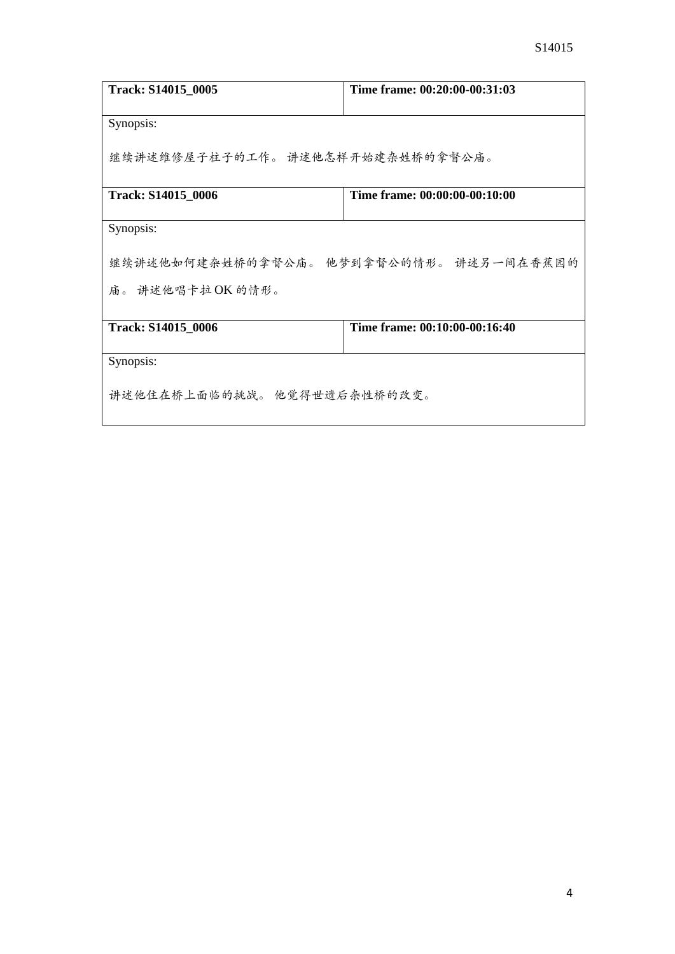| Track: S14015_0005                      | Time frame: 00:20:00-00:31:03 |  |
|-----------------------------------------|-------------------------------|--|
| Synopsis:                               |                               |  |
| 继续讲述维修屋子柱子的工作。 讲述他怎样开始建杂姓桥的拿督公庙。        |                               |  |
| Track: S14015_0006                      | Time frame: 00:00:00-00:10:00 |  |
| Synopsis:                               |                               |  |
| 继续讲述他如何建杂姓桥的拿督公庙。 他梦到拿督公的情形。 讲述另一间在香蕉园的 |                               |  |
| 庙。 讲述他唱卡拉OK 的情形。                        |                               |  |
| Track: S14015_0006                      | Time frame: 00:10:00-00:16:40 |  |
| Synopsis:                               |                               |  |
| 讲述他住在桥上面临的挑战。 他觉得世遗后杂性桥的改变。             |                               |  |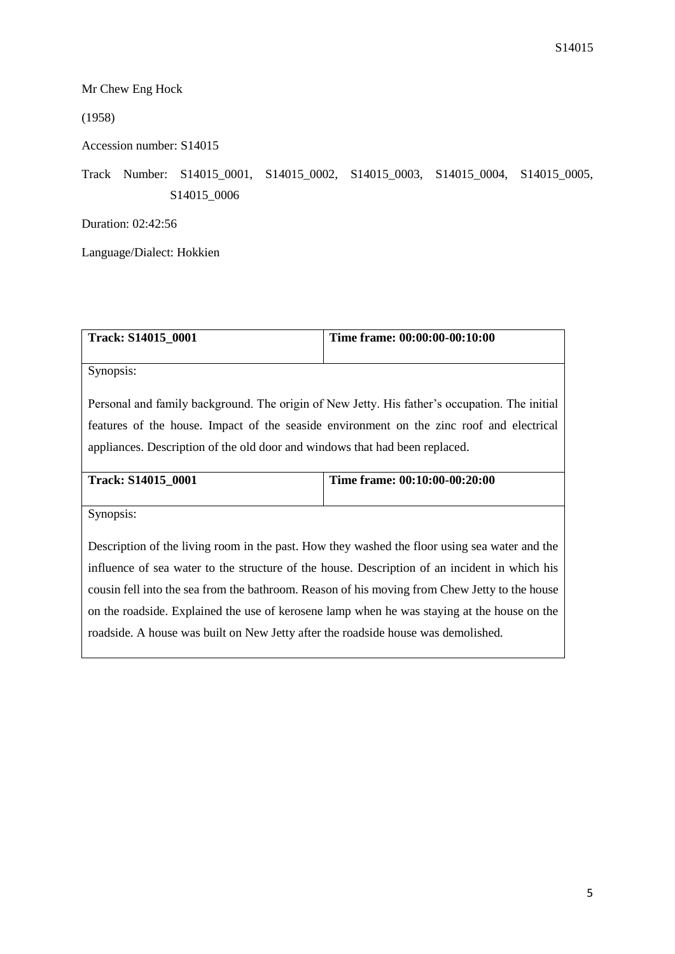## Mr Chew Eng Hock

(1958)

Accession number: S14015

## Track Number: S14015\_0001, S14015\_0002, S14015\_0003, S14015\_0004, S14015\_0005, S14015\_0006

Duration: 02:42:56

Language/Dialect: Hokkien

| Track: S14015_0001                                                                            | Time frame: 00:00:00-00:10:00 |  |
|-----------------------------------------------------------------------------------------------|-------------------------------|--|
|                                                                                               |                               |  |
| Synopsis:                                                                                     |                               |  |
|                                                                                               |                               |  |
| Personal and family background. The origin of New Jetty. His father's occupation. The initial |                               |  |
| features of the house. Impact of the seaside environment on the zinc roof and electrical      |                               |  |
| appliances. Description of the old door and windows that had been replaced.                   |                               |  |
|                                                                                               |                               |  |
| <b>Track: S14015 0001</b>                                                                     | Time frame: 00:10:00-00:20:00 |  |
|                                                                                               |                               |  |
| Synopsis:                                                                                     |                               |  |
|                                                                                               |                               |  |
| Description of the living room in the past. How they washed the floor using sea water and the |                               |  |
| influence of sea water to the structure of the house. Description of an incident in which his |                               |  |
| cousin fell into the sea from the bathroom. Reason of his moving from Chew Jetty to the house |                               |  |
| on the roadside. Explained the use of kerosene lamp when he was staying at the house on the   |                               |  |
| roadside. A house was built on New Jetty after the roadside house was demolished.             |                               |  |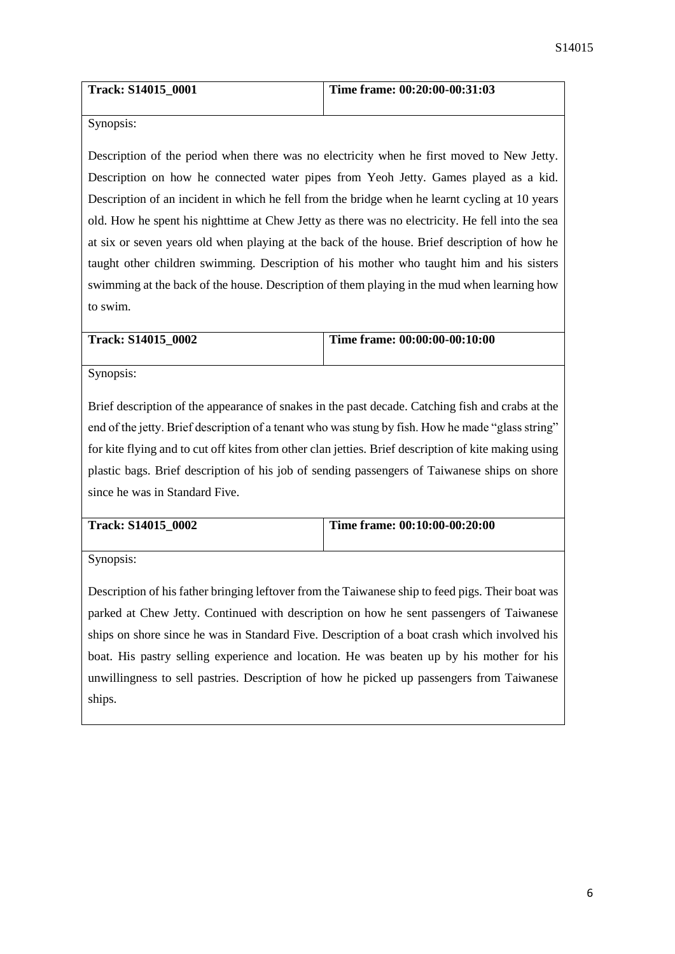| Track: S14015_0001 | Time frame: $00:20:00-00:31:03$ |
|--------------------|---------------------------------|
|                    |                                 |

Description of the period when there was no electricity when he first moved to New Jetty. Description on how he connected water pipes from Yeoh Jetty. Games played as a kid. Description of an incident in which he fell from the bridge when he learnt cycling at 10 years old. How he spent his nighttime at Chew Jetty as there was no electricity. He fell into the sea at six or seven years old when playing at the back of the house. Brief description of how he taught other children swimming. Description of his mother who taught him and his sisters swimming at the back of the house. Description of them playing in the mud when learning how to swim.

| <b>Track: S14015 0002</b> | Time frame: $00:00:00-00:10:00$ |
|---------------------------|---------------------------------|
|                           |                                 |

Synopsis:

Brief description of the appearance of snakes in the past decade. Catching fish and crabs at the end of the jetty. Brief description of a tenant who was stung by fish. How he made "glass string" for kite flying and to cut off kites from other clan jetties. Brief description of kite making using plastic bags. Brief description of his job of sending passengers of Taiwanese ships on shore since he was in Standard Five.

| <b>Track: S14015 0002</b> | Time frame: 00:10:00-00:20:00 |
|---------------------------|-------------------------------|
|                           |                               |

Synopsis:

Description of his father bringing leftover from the Taiwanese ship to feed pigs. Their boat was parked at Chew Jetty. Continued with description on how he sent passengers of Taiwanese ships on shore since he was in Standard Five. Description of a boat crash which involved his boat. His pastry selling experience and location. He was beaten up by his mother for his unwillingness to sell pastries. Description of how he picked up passengers from Taiwanese ships.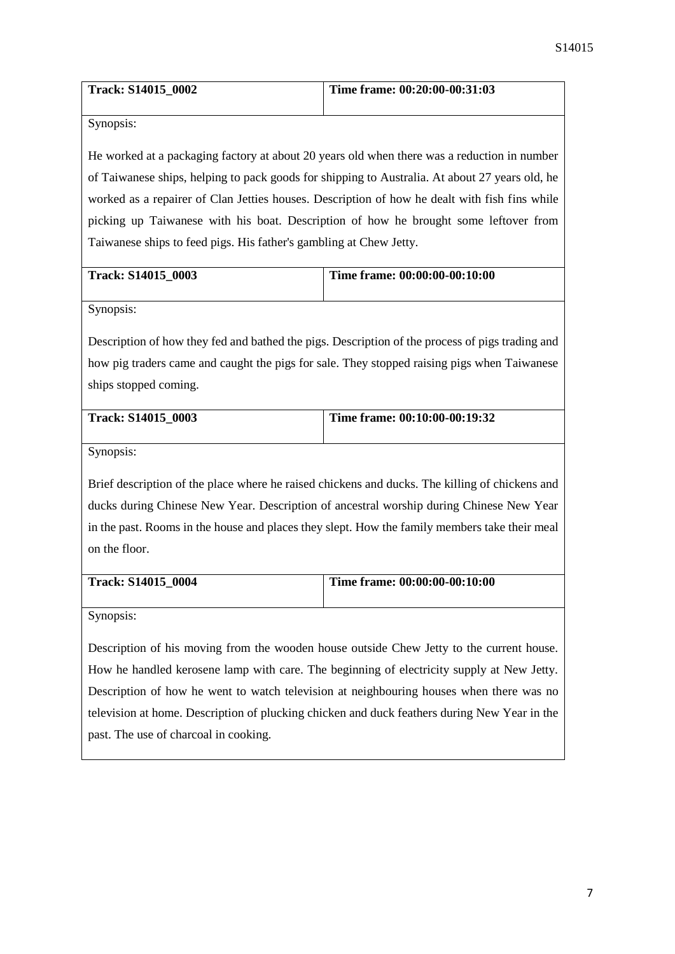| <b>Track: S14015 0002</b> | Time frame: 00:20:00-00:31:03 |
|---------------------------|-------------------------------|
|                           |                               |

He worked at a packaging factory at about 20 years old when there was a reduction in number of Taiwanese ships, helping to pack goods for shipping to Australia. At about 27 years old, he worked as a repairer of Clan Jetties houses. Description of how he dealt with fish fins while picking up Taiwanese with his boat. Description of how he brought some leftover from Taiwanese ships to feed pigs. His father's gambling at Chew Jetty.

| <b>Track: S14015 0003</b> | Time frame: $00:00:00-00:10:00$ |
|---------------------------|---------------------------------|
|                           |                                 |

Synopsis:

Description of how they fed and bathed the pigs. Description of the process of pigs trading and how pig traders came and caught the pigs for sale. They stopped raising pigs when Taiwanese ships stopped coming.

| Track: S14015 0003 | Time frame: 00:10:00-00:19:32 |
|--------------------|-------------------------------|
|                    |                               |

Synopsis:

Brief description of the place where he raised chickens and ducks. The killing of chickens and ducks during Chinese New Year. Description of ancestral worship during Chinese New Year in the past. Rooms in the house and places they slept. How the family members take their meal on the floor.

| <b>Track: S14015 0004</b> | Time frame: $00:00:00-00:10:00$ |
|---------------------------|---------------------------------|
|                           |                                 |

Synopsis:

Description of his moving from the wooden house outside Chew Jetty to the current house. How he handled kerosene lamp with care. The beginning of electricity supply at New Jetty. Description of how he went to watch television at neighbouring houses when there was no television at home. Description of plucking chicken and duck feathers during New Year in the past. The use of charcoal in cooking.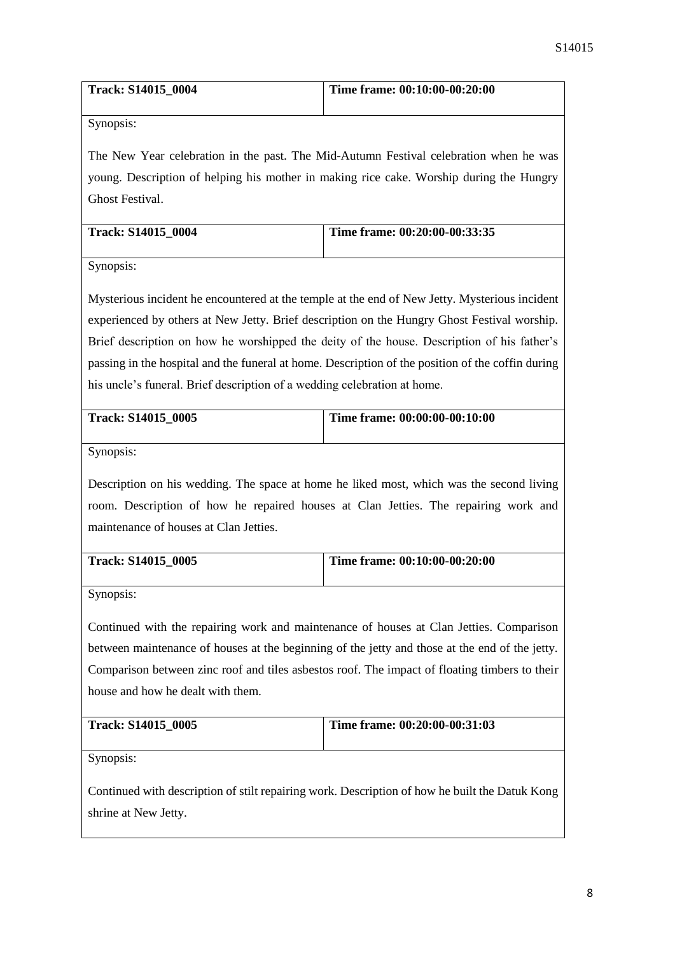| <b>Track: S14015 0004</b> | Time frame: 00:10:00-00:20:00 |
|---------------------------|-------------------------------|
|                           |                               |

The New Year celebration in the past. The Mid-Autumn Festival celebration when he was young. Description of helping his mother in making rice cake. Worship during the Hungry Ghost Festival.

| <b>Track: S14015 0004</b> | Time frame: $00:20:00-00:33:35$ |
|---------------------------|---------------------------------|
|                           |                                 |

Synopsis:

Mysterious incident he encountered at the temple at the end of New Jetty. Mysterious incident experienced by others at New Jetty. Brief description on the Hungry Ghost Festival worship. Brief description on how he worshipped the deity of the house. Description of his father's passing in the hospital and the funeral at home. Description of the position of the coffin during his uncle's funeral. Brief description of a wedding celebration at home.

| <b>Track: S14015 0005</b> | Time frame: 00:00:00-00:10:00 |
|---------------------------|-------------------------------|
|                           |                               |

Synopsis:

Description on his wedding. The space at home he liked most, which was the second living room. Description of how he repaired houses at Clan Jetties. The repairing work and maintenance of houses at Clan Jetties.

| Track: S14015 0005 | Time frame: 00:10:00-00:20:00 |
|--------------------|-------------------------------|
|                    |                               |

Synopsis:

Continued with the repairing work and maintenance of houses at Clan Jetties. Comparison between maintenance of houses at the beginning of the jetty and those at the end of the jetty. Comparison between zinc roof and tiles asbestos roof. The impact of floating timbers to their house and how he dealt with them.

| <b>Track: S14015 0005</b> | Time frame: $00:20:00-00:31:03$ |
|---------------------------|---------------------------------|
|                           |                                 |

Synopsis:

Continued with description of stilt repairing work. Description of how he built the Datuk Kong shrine at New Jetty.